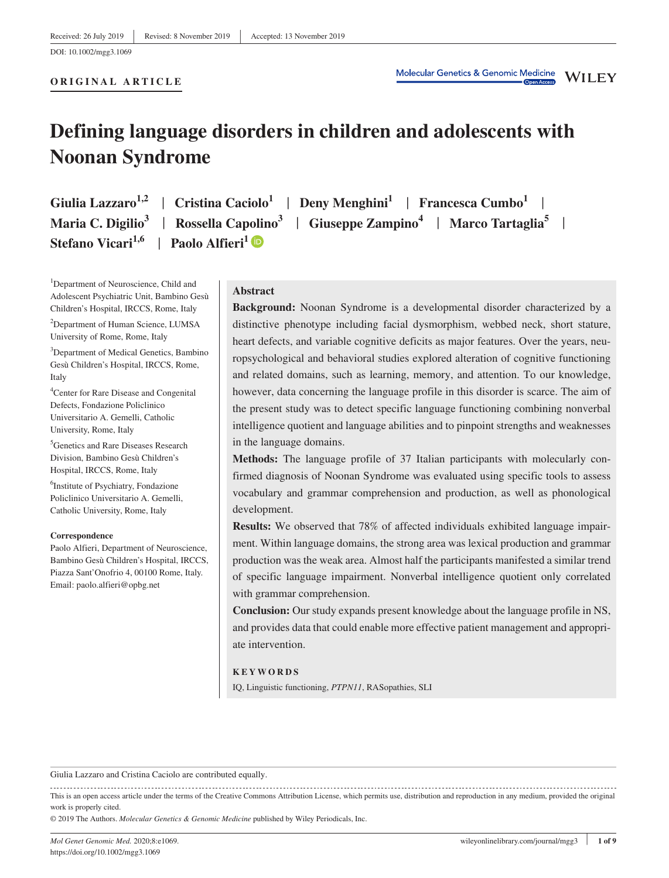## **ORIGINAL ARTICLE**

# **Defining language disorders in children and adolescents with Noonan Syndrome**

Giulia Lazzaro<sup>1,2</sup> | Cristina Caciolo<sup>1</sup> | Deny Menghini<sup>1</sup> | Francesca Cumbo<sup>1</sup> | **Maria C. Digilio<sup>3</sup>** | **Rossella Capolino3** | **Giuseppe Zampino4** | **Marco Tartaglia<sup>5</sup>** | **Stefano Vicari1,6** | **Paolo Alfieri[1](https://orcid.org/0000-0003-2197-9417)**

<sup>1</sup>Department of Neuroscience, Child and Adolescent Psychiatric Unit, Bambino Gesù Children's Hospital, IRCCS, Rome, Italy

<sup>2</sup>Department of Human Science, LUMSA University of Rome, Rome, Italy

3 Department of Medical Genetics, Bambino Gesù Children's Hospital, IRCCS, Rome, Italy

4 Center for Rare Disease and Congenital Defects, Fondazione Policlinico Universitario A. Gemelli, Catholic University, Rome, Italy

<sup>5</sup> Genetics and Rare Diseases Research Division, Bambino Gesù Children's Hospital, IRCCS, Rome, Italy

6 Institute of Psychiatry, Fondazione Policlinico Universitario A. Gemelli, Catholic University, Rome, Italy

#### **Correspondence**

Paolo Alfieri, Department of Neuroscience, Bambino Gesù Children's Hospital, IRCCS, Piazza Sant'Onofrio 4, 00100 Rome, Italy. Email: [paolo.alfieri@opbg.net](mailto:paolo.alfieri@opbg.net)

### **Abstract**

**Background:** Noonan Syndrome is a developmental disorder characterized by a distinctive phenotype including facial dysmorphism, webbed neck, short stature, heart defects, and variable cognitive deficits as major features. Over the years, neuropsychological and behavioral studies explored alteration of cognitive functioning and related domains, such as learning, memory, and attention. To our knowledge, however, data concerning the language profile in this disorder is scarce. The aim of the present study was to detect specific language functioning combining nonverbal intelligence quotient and language abilities and to pinpoint strengths and weaknesses in the language domains.

**Methods:** The language profile of 37 Italian participants with molecularly confirmed diagnosis of Noonan Syndrome was evaluated using specific tools to assess vocabulary and grammar comprehension and production, as well as phonological development.

**Results:** We observed that 78% of affected individuals exhibited language impairment. Within language domains, the strong area was lexical production and grammar production was the weak area. Almost half the participants manifested a similar trend of specific language impairment. Nonverbal intelligence quotient only correlated with grammar comprehension.

**Conclusion:** Our study expands present knowledge about the language profile in NS, and provides data that could enable more effective patient management and appropriate intervention.

#### **KEYWORDS**

IQ, Linguistic functioning, *PTPN11*, RASopathies, SLI

Giulia Lazzaro and Cristina Caciolo are contributed equally.

This is an open access article under the terms of the [Creative Commons Attribution](http://creativecommons.org/licenses/by/4.0/) License, which permits use, distribution and reproduction in any medium, provided the original work is properly cited.

© 2019 The Authors. *Molecular Genetics & Genomic Medicine* published by Wiley Periodicals, Inc.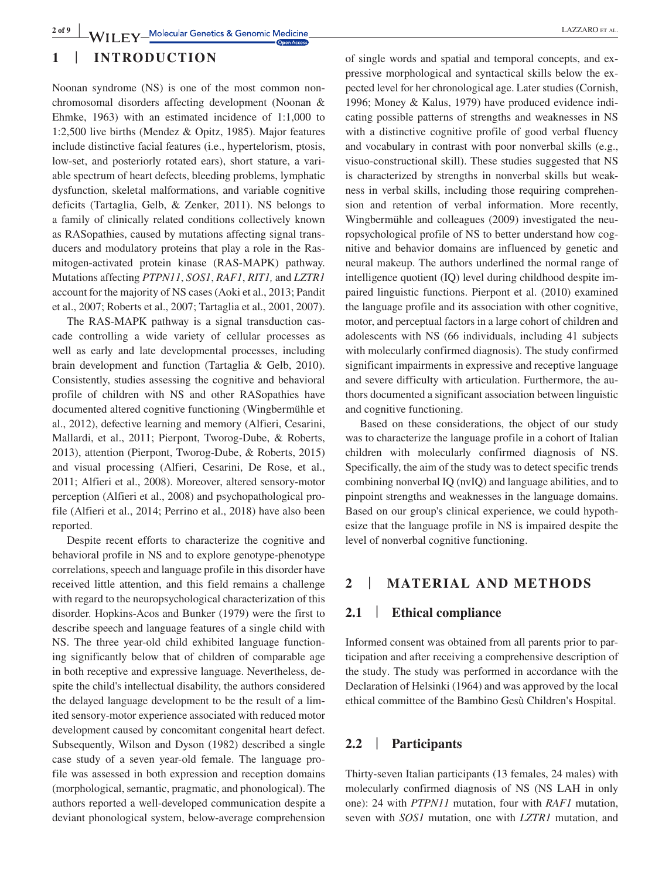## 2 of 9 **WILEY** Molecular Genetics & Genomic Medicine **Modell Construction** CAZZARO ET AL.

## **1** | **INTRODUCTION**

Noonan syndrome (NS) is one of the most common nonchromosomal disorders affecting development (Noonan & Ehmke, 1963) with an estimated incidence of 1:1,000 to 1:2,500 live births (Mendez & Opitz, 1985). Major features include distinctive facial features (i.e., hypertelorism, ptosis, low-set, and posteriorly rotated ears), short stature, a variable spectrum of heart defects, bleeding problems, lymphatic dysfunction, skeletal malformations, and variable cognitive deficits (Tartaglia, Gelb, & Zenker, 2011). NS belongs to a family of clinically related conditions collectively known as RASopathies, caused by mutations affecting signal transducers and modulatory proteins that play a role in the Rasmitogen-activated protein kinase (RAS-MAPK) pathway. Mutations affecting *PTPN11*, *SOS1*, *RAF1*, *RIT1,* and *LZTR1* account for the majority of NS cases (Aoki et al., 2013; Pandit et al., 2007; Roberts et al., 2007; Tartaglia et al., 2001, 2007).

The RAS-MAPK pathway is a signal transduction cascade controlling a wide variety of cellular processes as well as early and late developmental processes, including brain development and function (Tartaglia & Gelb, 2010). Consistently, studies assessing the cognitive and behavioral profile of children with NS and other RASopathies have documented altered cognitive functioning (Wingbermühle et al., 2012), defective learning and memory (Alfieri, Cesarini, Mallardi, et al., 2011; Pierpont, Tworog-Dube, & Roberts, 2013), attention (Pierpont, Tworog-Dube, & Roberts, 2015) and visual processing (Alfieri, Cesarini, De Rose, et al., 2011; Alfieri et al., 2008). Moreover, altered sensory-motor perception (Alfieri et al., 2008) and psychopathological profile (Alfieri et al., 2014; Perrino et al., 2018) have also been reported.

Despite recent efforts to characterize the cognitive and behavioral profile in NS and to explore genotype-phenotype correlations, speech and language profile in this disorder have received little attention, and this field remains a challenge with regard to the neuropsychological characterization of this disorder. Hopkins-Acos and Bunker (1979) were the first to describe speech and language features of a single child with NS. The three year-old child exhibited language functioning significantly below that of children of comparable age in both receptive and expressive language. Nevertheless, despite the child's intellectual disability, the authors considered the delayed language development to be the result of a limited sensory-motor experience associated with reduced motor development caused by concomitant congenital heart defect. Subsequently, Wilson and Dyson (1982) described a single case study of a seven year-old female. The language profile was assessed in both expression and reception domains (morphological, semantic, pragmatic, and phonological). The authors reported a well-developed communication despite a deviant phonological system, below-average comprehension of single words and spatial and temporal concepts, and expressive morphological and syntactical skills below the expected level for her chronological age. Later studies (Cornish, 1996; Money & Kalus, 1979) have produced evidence indicating possible patterns of strengths and weaknesses in NS with a distinctive cognitive profile of good verbal fluency and vocabulary in contrast with poor nonverbal skills (e.g., visuo-constructional skill). These studies suggested that NS is characterized by strengths in nonverbal skills but weakness in verbal skills, including those requiring comprehension and retention of verbal information. More recently, Wingbermühle and colleagues (2009) investigated the neuropsychological profile of NS to better understand how cognitive and behavior domains are influenced by genetic and neural makeup. The authors underlined the normal range of intelligence quotient (IQ) level during childhood despite impaired linguistic functions. Pierpont et al. (2010) examined the language profile and its association with other cognitive, motor, and perceptual factors in a large cohort of children and adolescents with NS (66 individuals, including 41 subjects with molecularly confirmed diagnosis). The study confirmed significant impairments in expressive and receptive language and severe difficulty with articulation. Furthermore, the authors documented a significant association between linguistic and cognitive functioning.

Based on these considerations, the object of our study was to characterize the language profile in a cohort of Italian children with molecularly confirmed diagnosis of NS. Specifically, the aim of the study was to detect specific trends combining nonverbal IQ (nvIQ) and language abilities, and to pinpoint strengths and weaknesses in the language domains. Based on our group's clinical experience, we could hypothesize that the language profile in NS is impaired despite the level of nonverbal cognitive functioning.

#### **2** | **MATERIAL AND METHODS**

#### **2.1** | **Ethical compliance**

Informed consent was obtained from all parents prior to participation and after receiving a comprehensive description of the study. The study was performed in accordance with the Declaration of Helsinki (1964) and was approved by the local ethical committee of the Bambino Gesù Children's Hospital.

### **2.2** | **Participants**

Thirty-seven Italian participants (13 females, 24 males) with molecularly confirmed diagnosis of NS (NS LAH in only one): 24 with *PTPN11* mutation, four with *RAF1* mutation, seven with *SOS1* mutation, one with *LZTR1* mutation, and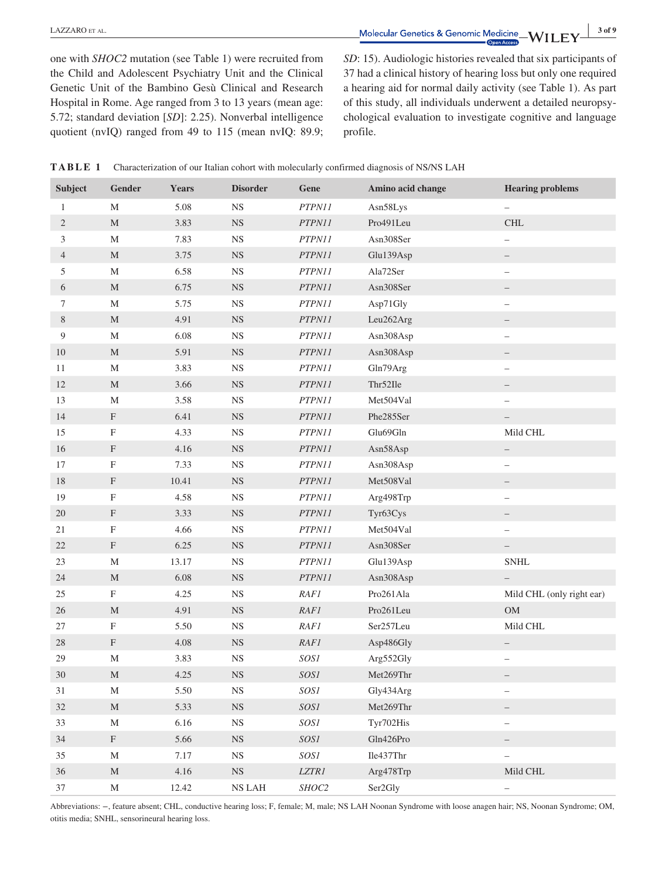one with *SHOC2* mutation (see Table 1) were recruited from the Child and Adolescent Psychiatry Unit and the Clinical Genetic Unit of the Bambino Gesù Clinical and Research Hospital in Rome. Age ranged from 3 to 13 years (mean age: 5.72; standard deviation [*SD*]: 2.25). Nonverbal intelligence quotient (nvIQ) ranged from 49 to 115 (mean nvIQ: 89.9; *SD*: 15). Audiologic histories revealed that six participants of 37 had a clinical history of hearing loss but only one required a hearing aid for normal daily activity (see Table 1). As part of this study, all individuals underwent a detailed neuropsychological evaluation to investigate cognitive and language profile.

|  | <b>TABLE 1</b> Characterization of our Italian cohort with molecularly confirmed diagnosis of NS/NS LAH |  |  |  |  |  |
|--|---------------------------------------------------------------------------------------------------------|--|--|--|--|--|
|--|---------------------------------------------------------------------------------------------------------|--|--|--|--|--|

| <b>Subject</b>   | Gender                    | Years | <b>Disorder</b> | Gene             | Amino acid change | <b>Hearing problems</b>   |
|------------------|---------------------------|-------|-----------------|------------------|-------------------|---------------------------|
| 1                | $\mathbf M$               | 5.08  | $_{\rm NS}$     | PTPN11           | Asn58Lys          | $\overline{\phantom{0}}$  |
| $\sqrt{2}$       | $\mathbf M$               | 3.83  | $_{\rm NS}$     | PTPNII           | Pro491Leu         | $\rm CHL$                 |
| $\mathfrak{Z}$   | $\mathbf M$               | 7.83  | $_{\rm NS}$     | PTPN11           | Asn308Ser         | $\overline{\phantom{0}}$  |
| $\overline{4}$   | $\mathbf M$               | 3.75  | $_{\rm NS}$     | PTPNII           | Glu139Asp         | $\qquad \qquad -$         |
| $5\,$            | $\mathbf M$               | 6.58  | $_{\rm NS}$     | PTPN11           | Ala72Ser          | $\qquad \qquad -$         |
| $\sqrt{6}$       | $\mathbf M$               | 6.75  | $_{\rm NS}$     | PTPNII           | Asn308Ser         | <sup>-</sup>              |
| $\boldsymbol{7}$ | $\mathbf M$               | 5.75  | $_{\rm NS}$     | PTPN11           | Asp71Gly          | $\qquad \qquad -$         |
| $8\,$            | $\mathbf M$               | 4.91  | $_{\rm NS}$     | PTPNII           | Leu262Arg         |                           |
| 9                | $\mathbf M$               | 6.08  | $_{\rm NS}$     | PTPN11           | Asn308Asp         | $\qquad \qquad -$         |
| 10               | $\mathbf M$               | 5.91  | $_{\rm NS}$     | PTPN11           | Asn308Asp         | $\qquad \qquad -$         |
| 11               | $\mathbf M$               | 3.83  | $_{\rm NS}$     | PTPN11           | Gln79Arg          | $\qquad \qquad -$         |
| $12\,$           | $\mathbf M$               | 3.66  | $_{\rm NS}$     | ${\cal PTP}N11$  | Thr52Ile          | $\overline{\phantom{0}}$  |
| 13               | $\mathbf M$               | 3.58  | $_{\rm NS}$     | PTPN11           | Met504Val         | $\qquad \qquad -$         |
| 14               | $\boldsymbol{\mathrm{F}}$ | 6.41  | $_{\rm NS}$     | PTPN11           | Phe285Ser         | -                         |
| 15               | $\boldsymbol{\mathrm{F}}$ | 4.33  | $_{\rm NS}$     | PTPN11           | Glu69Gln          | Mild CHL                  |
| 16               | $\boldsymbol{\mathrm{F}}$ | 4.16  | $_{\rm NS}$     | PTPNII           | Asn58Asp          | $\overline{\phantom{0}}$  |
| $17\,$           | $\mathbf F$               | 7.33  | $_{\rm NS}$     | PTPN11           | Asn308Asp         | $\qquad \qquad -$         |
| 18               | $\boldsymbol{\mathrm{F}}$ | 10.41 | $_{\rm NS}$     | PTPN11           | Met508Val         | $\qquad \qquad -$         |
| 19               | $\boldsymbol{\mathrm{F}}$ | 4.58  | $_{\rm NS}$     | PTPN11           | Arg498Trp         | $\qquad \qquad -$         |
| $20\,$           | $\boldsymbol{\mathrm{F}}$ | 3.33  | $_{\rm NS}$     | ${\cal PTP}N11$  | Tyr63Cys          | $\overline{\phantom{0}}$  |
| 21               | $\mathbf F$               | 4.66  | $_{\rm NS}$     | PTPN11           | Met504Val         | $\qquad \qquad -$         |
| $22\,$           | $\mathbf F$               | 6.25  | $_{\rm NS}$     | PTPNII           | Asn308Ser         | -                         |
| 23               | $\mathbf M$               | 13.17 | $_{\rm NS}$     | PTPN11           | Glu139Asp         | <b>SNHL</b>               |
| 24               | $\mathbf M$               | 6.08  | $_{\rm NS}$     | PTPN11           | Asn308Asp         | $\overline{\phantom{0}}$  |
| 25               | $\mathbf F$               | 4.25  | $_{\rm NS}$     | RAFI             | Pro261Ala         | Mild CHL (only right ear) |
| $26\,$           | $\mathbf M$               | 4.91  | $_{\rm NS}$     | RAF1             | Pro261Leu         | ${\rm OM}$                |
| 27               | $\mathbf F$               | 5.50  | $_{\rm NS}$     | RAF1             | Ser257Leu         | Mild CHL                  |
| $28\,$           | $\boldsymbol{\mathrm{F}}$ | 4.08  | $_{\rm NS}$     | RAFI             | Asp486Gly         | $\qquad \qquad -$         |
| 29               | $\mathbf M$               | 3.83  | $_{\rm NS}$     | SOS1             | Arg552Gly         | $\qquad \qquad -$         |
| 30               | $\mathbf M$               | 4.25  | $_{\rm NS}$     | $SOSI$           | Met269Thr         |                           |
| 31               | $\mathbf M$               | 5.50  | $_{\rm NS}$     | SOS1             | Gly434Arg         | -                         |
| 32               | $\mathbf M$               | 5.33  | $_{\rm NS}$     | $SOSI$           | Met269Thr         |                           |
| 33               | $\mathbf M$               | 6.16  | $_{\rm NS}$     | SOS1             | Tyr702His         | $\qquad \qquad -$         |
| 34               | $\boldsymbol{\mathrm{F}}$ | 5.66  | $_{\rm NS}$     | $SOSI$           | Gln426Pro         | $\qquad \qquad -$         |
| 35               | M                         | 7.17  | $_{\rm NS}$     | SOS1             | Ile437Thr         | $\qquad \qquad -$         |
| 36               | $\mathbf M$               | 4.16  | $_{\rm NS}$     | $LZTR\mathit{1}$ | Arg478Trp         | Mild CHL                  |
| 37               | $\mathbf M$               | 12.42 | $\rm NS$ LAH    | $SHOC2$          | Ser2Gly           | $\overline{\phantom{0}}$  |

Abbreviations: −, feature absent; CHL, conductive hearing loss; F, female; M, male; NS LAH Noonan Syndrome with loose anagen hair; NS, Noonan Syndrome; OM, otitis media; SNHL, sensorineural hearing loss.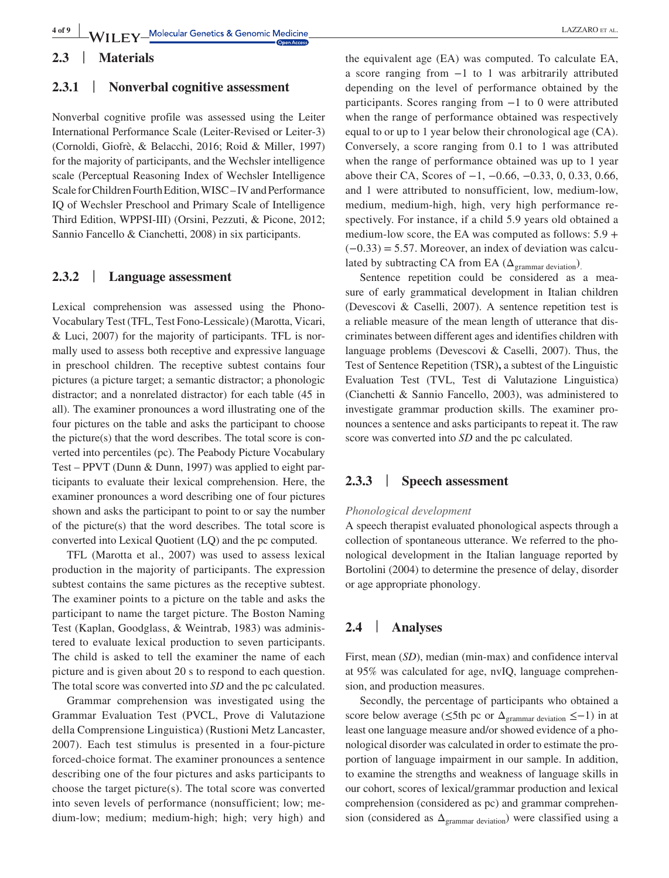## **2.3** | **Materials**

## **2.3.1** | **Nonverbal cognitive assessment**

Nonverbal cognitive profile was assessed using the Leiter International Performance Scale (Leiter-Revised or Leiter-3) (Cornoldi, Giofrè, & Belacchi, 2016; Roid & Miller, 1997) for the majority of participants, and the Wechsler intelligence scale (Perceptual Reasoning Index of Wechsler Intelligence Scale for Children Fourth Edition, WISC – IV and Performance IQ of Wechsler Preschool and Primary Scale of Intelligence Third Edition, WPPSI-III) (Orsini, Pezzuti, & Picone, 2012; Sannio Fancello & Cianchetti, 2008) in six participants.

## **2.3.2** | **Language assessment**

Lexical comprehension was assessed using the Phono-Vocabulary Test (TFL, Test Fono-Lessicale) (Marotta, Vicari, & Luci, 2007) for the majority of participants. TFL is normally used to assess both receptive and expressive language in preschool children. The receptive subtest contains four pictures (a picture target; a semantic distractor; a phonologic distractor; and a nonrelated distractor) for each table (45 in all). The examiner pronounces a word illustrating one of the four pictures on the table and asks the participant to choose the picture(s) that the word describes. The total score is converted into percentiles (pc). The Peabody Picture Vocabulary Test – PPVT (Dunn & Dunn, 1997) was applied to eight participants to evaluate their lexical comprehension. Here, the examiner pronounces a word describing one of four pictures shown and asks the participant to point to or say the number of the picture(s) that the word describes. The total score is converted into Lexical Quotient (LQ) and the pc computed.

TFL (Marotta et al., 2007) was used to assess lexical production in the majority of participants. The expression subtest contains the same pictures as the receptive subtest. The examiner points to a picture on the table and asks the participant to name the target picture. The Boston Naming Test (Kaplan, Goodglass, & Weintrab, 1983) was administered to evaluate lexical production to seven participants. The child is asked to tell the examiner the name of each picture and is given about 20 s to respond to each question. The total score was converted into *SD* and the pc calculated.

Grammar comprehension was investigated using the Grammar Evaluation Test (PVCL, Prove di Valutazione della Comprensione Linguistica) (Rustioni Metz Lancaster, 2007). Each test stimulus is presented in a four-picture forced-choice format. The examiner pronounces a sentence describing one of the four pictures and asks participants to choose the target picture(s). The total score was converted into seven levels of performance (nonsufficient; low; medium-low; medium; medium-high; high; very high) and the equivalent age (EA) was computed. To calculate EA, a score ranging from −1 to 1 was arbitrarily attributed depending on the level of performance obtained by the participants. Scores ranging from −1 to 0 were attributed when the range of performance obtained was respectively equal to or up to 1 year below their chronological age (CA). Conversely, a score ranging from 0.1 to 1 was attributed when the range of performance obtained was up to 1 year above their CA, Scores of −1, −0.66, −0.33, 0, 0.33, 0.66, and 1 were attributed to nonsufficient, low, medium-low, medium, medium-high, high, very high performance respectively. For instance, if a child 5.9 years old obtained a medium-low score, the EA was computed as follows:  $5.9 +$  $(-0.33) = 5.57$ . Moreover, an index of deviation was calculated by subtracting CA from EA  $(\Delta_{\text{grammar deviation}})$ .

Sentence repetition could be considered as a measure of early grammatical development in Italian children (Devescovi & Caselli, 2007). A sentence repetition test is a reliable measure of the mean length of utterance that discriminates between different ages and identifies children with language problems (Devescovi & Caselli, 2007). Thus, the Test of Sentence Repetition (TSR)**,** a subtest of the Linguistic Evaluation Test (TVL, Test di Valutazione Linguistica) (Cianchetti & Sannio Fancello, 2003), was administered to investigate grammar production skills. The examiner pronounces a sentence and asks participants to repeat it. The raw score was converted into *SD* and the pc calculated.

#### **2.3.3** | **Speech assessment**

#### *Phonological development*

A speech therapist evaluated phonological aspects through a collection of spontaneous utterance. We referred to the phonological development in the Italian language reported by Bortolini (2004) to determine the presence of delay, disorder or age appropriate phonology.

#### **2.4** | **Analyses**

First, mean (*SD*), median (min-max) and confidence interval at 95% was calculated for age, nvIQ, language comprehension, and production measures.

Secondly, the percentage of participants who obtained a score below average (≤5th pc or  $\Delta_{\text{grammar deviation}}$  ≤−1) in at least one language measure and/or showed evidence of a phonological disorder was calculated in order to estimate the proportion of language impairment in our sample. In addition, to examine the strengths and weakness of language skills in our cohort, scores of lexical/grammar production and lexical comprehension (considered as pc) and grammar comprehension (considered as  $\Delta_{\text{grammar deviation}}$ ) were classified using a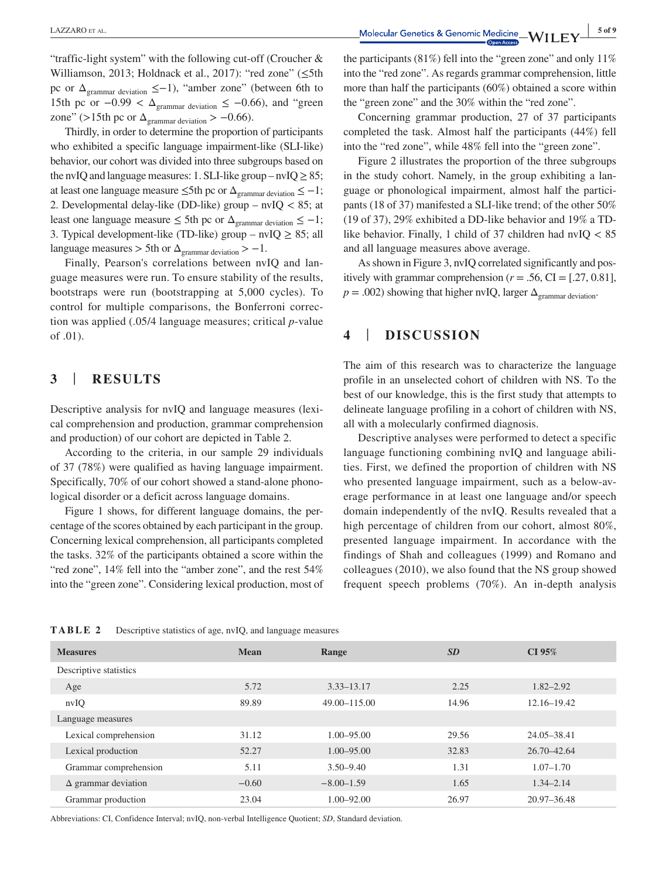"traffic-light system" with the following cut-off (Croucher & Williamson, 2013; Holdnack et al., 2017): "red zone" (≤5th pc or  $\Delta_{\text{grammar deviation}} \leq -1$ ), "amber zone" (between 6th to 15th pc or  $-0.99 < \Delta_{\text{grammar deviation}} \leq -0.66$ , and "green zone" (>15th pc or  $\Delta_{\text{grammar deviation}}$  > -0.66).

Thirdly, in order to determine the proportion of participants who exhibited a specific language impairment-like (SLI-like) behavior, our cohort was divided into three subgroups based on the nvIQ and language measures: 1. SLI-like group –  $nvIQ \geq 85$ ; at least one language measure  $\leq$ 5th pc or  $\Delta_{\text{grammar deviation}} \leq -1$ ; 2. Developmental delay-like (DD-like) group – nvIQ < 85; at least one language measure  $\leq$  5th pc or  $\Delta_{\text{grammar deviation}} \leq -1$ ; 3. Typical development-like (TD-like) group –  $nvIQ \geq 85$ ; all language measures > 5th or  $\Delta_{\text{grammar deviation}}$  > -1.

Finally, Pearson's correlations between nvIQ and language measures were run. To ensure stability of the results, bootstraps were run (bootstrapping at 5,000 cycles). To control for multiple comparisons, the Bonferroni correction was applied (.05/4 language measures; critical *p*-value of .01).

## **3** | **RESULTS**

Descriptive analysis for nvIQ and language measures (lexical comprehension and production, grammar comprehension and production) of our cohort are depicted in Table 2.

According to the criteria, in our sample 29 individuals of 37 (78%) were qualified as having language impairment. Specifically, 70% of our cohort showed a stand-alone phonological disorder or a deficit across language domains.

Figure 1 shows, for different language domains, the percentage of the scores obtained by each participant in the group. Concerning lexical comprehension, all participants completed the tasks. 32% of the participants obtained a score within the "red zone", 14% fell into the "amber zone", and the rest 54% into the "green zone". Considering lexical production, most of the participants  $(81\%)$  fell into the "green zone" and only  $11\%$ into the "red zone". As regards grammar comprehension, little more than half the participants (60%) obtained a score within the "green zone" and the 30% within the "red zone".

Concerning grammar production, 27 of 37 participants completed the task. Almost half the participants (44%) fell into the "red zone", while 48% fell into the "green zone".

Figure 2 illustrates the proportion of the three subgroups in the study cohort. Namely, in the group exhibiting a language or phonological impairment, almost half the participants (18 of 37) manifested a SLI-like trend; of the other 50% (19 of 37), 29% exhibited a DD-like behavior and 19% a TDlike behavior. Finally, 1 child of 37 children had  $nvIQ < 85$ and all language measures above average.

As shown in Figure 3, nvIQ correlated significantly and positively with grammar comprehension  $(r = .56, CI = [.27, 0.81]$ ,  $p = .002$ ) showing that higher nvIQ, larger  $\Delta_{\text{grammar deviation}}$ .

## **4** | **DISCUSSION**

The aim of this research was to characterize the language profile in an unselected cohort of children with NS. To the best of our knowledge, this is the first study that attempts to delineate language profiling in a cohort of children with NS, all with a molecularly confirmed diagnosis.

Descriptive analyses were performed to detect a specific language functioning combining nvIQ and language abilities. First, we defined the proportion of children with NS who presented language impairment, such as a below-average performance in at least one language and/or speech domain independently of the nvIQ. Results revealed that a high percentage of children from our cohort, almost 80%, presented language impairment. In accordance with the findings of Shah and colleagues (1999) and Romano and colleagues (2010), we also found that the NS group showed frequent speech problems (70%). An in-depth analysis

|  | TABLE 2 |  | Descriptive statistics of age, nvIQ, and language measures |  |  |  |  |  |  |
|--|---------|--|------------------------------------------------------------|--|--|--|--|--|--|
|--|---------|--|------------------------------------------------------------|--|--|--|--|--|--|

**Measures Mean Range** *SD* **CI 95%** Descriptive statistics Age 5.72 3.33–13.17 2.25 1.82–2.92 nvIQ 89.89 49.00–115.00 14.96 12.16–19.42 Language measures Lexical comprehension 31.12 1.00–95.00 29.56 24.05–38.41 Lexical production 52.27 1.00–95.00 32.83 26.70–42.64 Grammar comprehension 5.11 3.50–9.40 1.31 1.07–1.70 Δ grammar deviation −0.60 −8.00–1.59 1.65 1.34–2.14 Grammar production 23.04 1.00–92.00 26.97 20.97–36.48

Abbreviations: CI, Confidence Interval; nvIQ, non-verbal Intelligence Quotient; *SD*, Standard deviation.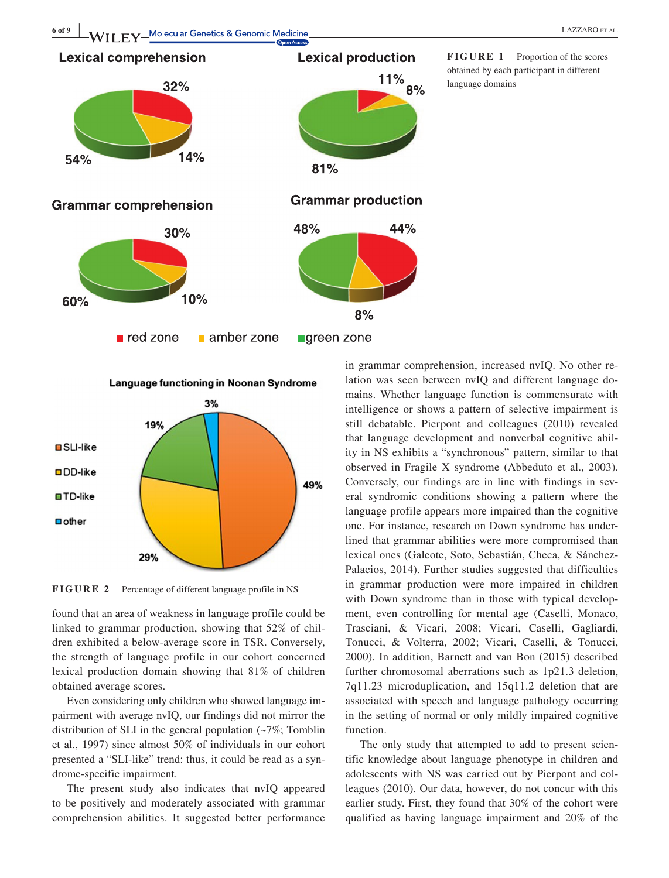

Language functioning in Noonan Syndrome



**FIGURE 2** Percentage of different language profile in NS

found that an area of weakness in language profile could be linked to grammar production, showing that 52% of children exhibited a below-average score in TSR. Conversely, the strength of language profile in our cohort concerned lexical production domain showing that 81% of children obtained average scores.

Even considering only children who showed language impairment with average nvIQ, our findings did not mirror the distribution of SLI in the general population (~7%; Tomblin et al., 1997) since almost 50% of individuals in our cohort presented a "SLI-like" trend: thus, it could be read as a syndrome-specific impairment.

The present study also indicates that nvIQ appeared to be positively and moderately associated with grammar comprehension abilities. It suggested better performance in grammar comprehension, increased nvIQ. No other relation was seen between nvIQ and different language domains. Whether language function is commensurate with intelligence or shows a pattern of selective impairment is still debatable. Pierpont and colleagues (2010) revealed that language development and nonverbal cognitive ability in NS exhibits a "synchronous" pattern, similar to that observed in Fragile X syndrome (Abbeduto et al., 2003). Conversely, our findings are in line with findings in several syndromic conditions showing a pattern where the language profile appears more impaired than the cognitive one. For instance, research on Down syndrome has underlined that grammar abilities were more compromised than lexical ones (Galeote, Soto, Sebastián, Checa, & Sánchez-Palacios, 2014). Further studies suggested that difficulties in grammar production were more impaired in children with Down syndrome than in those with typical development, even controlling for mental age (Caselli, Monaco, Trasciani, & Vicari, 2008; Vicari, Caselli, Gagliardi, Tonucci, & Volterra, 2002; Vicari, Caselli, & Tonucci, 2000). In addition, Barnett and van Bon (2015) described further chromosomal aberrations such as 1p21.3 deletion, 7q11.23 microduplication, and 15q11.2 deletion that are associated with speech and language pathology occurring in the setting of normal or only mildly impaired cognitive function.

The only study that attempted to add to present scientific knowledge about language phenotype in children and adolescents with NS was carried out by Pierpont and colleagues (2010). Our data, however, do not concur with this earlier study. First, they found that 30% of the cohort were qualified as having language impairment and 20% of the

**FIGURE 1** Proportion of the scores obtained by each participant in different language domains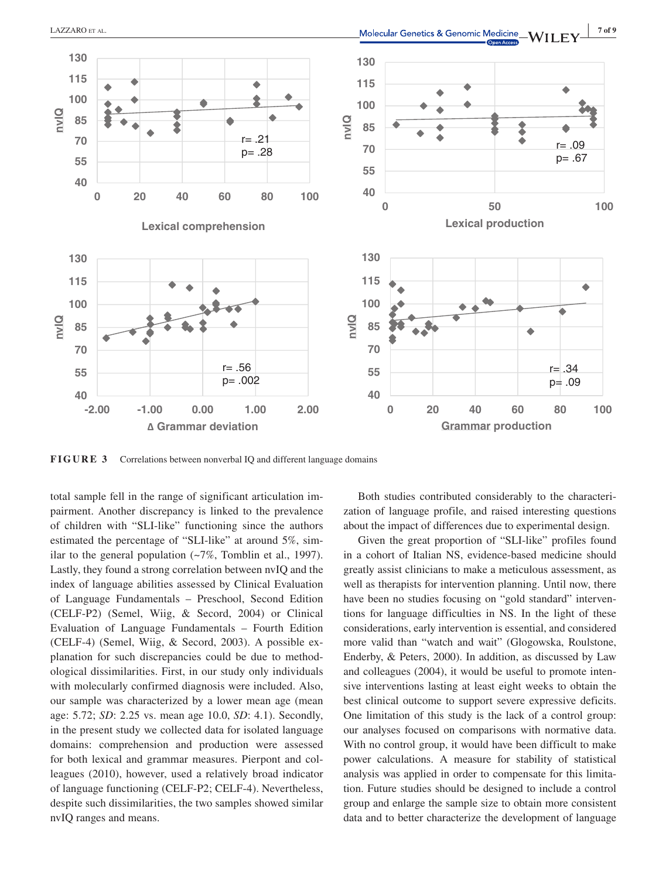

**FIGURE 3** Correlations between nonverbal IQ and different language domains

total sample fell in the range of significant articulation impairment. Another discrepancy is linked to the prevalence of children with "SLI-like" functioning since the authors estimated the percentage of "SLI-like" at around 5%, similar to the general population (~7%, Tomblin et al., 1997). Lastly, they found a strong correlation between nvIQ and the index of language abilities assessed by Clinical Evaluation of Language Fundamentals – Preschool, Second Edition (CELF-P2) (Semel, Wiig, & Secord, 2004) or Clinical Evaluation of Language Fundamentals – Fourth Edition (CELF-4) (Semel, Wiig, & Secord, 2003). A possible explanation for such discrepancies could be due to methodological dissimilarities. First, in our study only individuals with molecularly confirmed diagnosis were included. Also, our sample was characterized by a lower mean age (mean age: 5.72; *SD*: 2.25 vs. mean age 10.0, *SD*: 4.1). Secondly, in the present study we collected data for isolated language domains: comprehension and production were assessed for both lexical and grammar measures. Pierpont and colleagues (2010), however, used a relatively broad indicator of language functioning (CELF-P2; CELF-4). Nevertheless, despite such dissimilarities, the two samples showed similar nvIQ ranges and means.

Both studies contributed considerably to the characterization of language profile, and raised interesting questions about the impact of differences due to experimental design.

Given the great proportion of "SLI-like" profiles found in a cohort of Italian NS, evidence-based medicine should greatly assist clinicians to make a meticulous assessment, as well as therapists for intervention planning. Until now, there have been no studies focusing on "gold standard" interventions for language difficulties in NS. In the light of these considerations, early intervention is essential, and considered more valid than "watch and wait" (Glogowska, Roulstone, Enderby, & Peters, 2000). In addition, as discussed by Law and colleagues (2004), it would be useful to promote intensive interventions lasting at least eight weeks to obtain the best clinical outcome to support severe expressive deficits. One limitation of this study is the lack of a control group: our analyses focused on comparisons with normative data. With no control group, it would have been difficult to make power calculations. A measure for stability of statistical analysis was applied in order to compensate for this limitation. Future studies should be designed to include a control group and enlarge the sample size to obtain more consistent data and to better characterize the development of language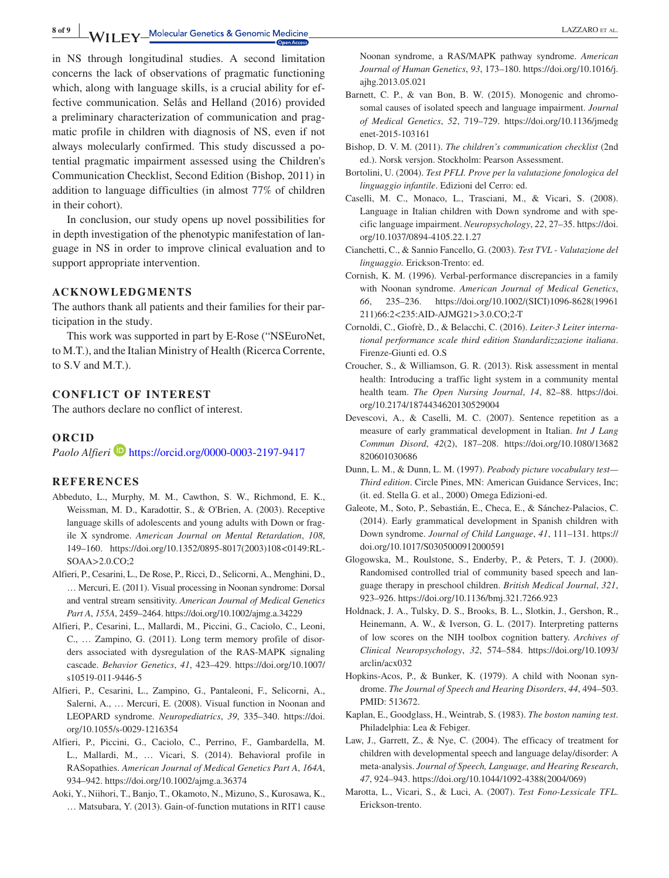8 of 9 **WILEY** Molecular Genetics & Genomic Medicine **Accord 2008** 2009 2012 2022ARO ET AL.

in NS through longitudinal studies. A second limitation concerns the lack of observations of pragmatic functioning which, along with language skills, is a crucial ability for effective communication. Selås and Helland (2016) provided a preliminary characterization of communication and pragmatic profile in children with diagnosis of NS, even if not always molecularly confirmed. This study discussed a potential pragmatic impairment assessed using the Children's Communication Checklist, Second Edition (Bishop, 2011) in addition to language difficulties (in almost 77% of children in their cohort).

In conclusion, our study opens up novel possibilities for in depth investigation of the phenotypic manifestation of language in NS in order to improve clinical evaluation and to support appropriate intervention.

#### **ACKNOWLEDGMENTS**

The authors thank all patients and their families for their participation in the study.

This work was supported in part by E-Rose ("NSEuroNet, to M.T.), and the Italian Ministry of Health (Ricerca Corrente, to S.V and M.T.).

#### **CONFLICT OF INTEREST**

The authors declare no conflict of interest.

#### **ORCID**

*Paolo Alfieri* **b** <https://orcid.org/0000-0003-2197-9417>

#### **REFERENCES**

- Abbeduto, L., Murphy, M. M., Cawthon, S. W., Richmond, E. K., Weissman, M. D., Karadottir, S., & O'Brien, A. (2003). Receptive language skills of adolescents and young adults with Down or fragile X syndrome. *American Journal on Mental Retardation*, *108*, 149–160. [https://doi.org/10.1352/0895-8017\(2003\)108<0149:RL-](https://doi.org/10.1352/0895-8017(2003) 108%3C0149:RLSOAA%3E2.0.CO;2)[SOAA>2.0.CO;2](https://doi.org/10.1352/0895-8017(2003) 108%3C0149:RLSOAA%3E2.0.CO;2)
- Alfieri, P., Cesarini, L., De Rose, P., Ricci, D., Selicorni, A., Menghini, D., … Mercuri, E. (2011). Visual processing in Noonan syndrome: Dorsal and ventral stream sensitivity. *American Journal of Medical Genetics Part A*, *155A*, 2459–2464.<https://doi.org/10.1002/ajmg.a.34229>
- Alfieri, P., Cesarini, L., Mallardi, M., Piccini, G., Caciolo, C., Leoni, C., … Zampino, G. (2011). Long term memory profile of disorders associated with dysregulation of the RAS-MAPK signaling cascade. *Behavior Genetics*, *41*, 423–429. [https://doi.org/10.1007/](https://doi.org/10.1007/s10519-011-9446-5) [s10519-011-9446-5](https://doi.org/10.1007/s10519-011-9446-5)
- Alfieri, P., Cesarini, L., Zampino, G., Pantaleoni, F., Selicorni, A., Salerni, A., … Mercuri, E. (2008). Visual function in Noonan and LEOPARD syndrome. *Neuropediatrics*, *39*, 335–340. [https://doi.](https://doi.org/10.1055/s-0029-1216354) [org/10.1055/s-0029-1216354](https://doi.org/10.1055/s-0029-1216354)
- Alfieri, P., Piccini, G., Caciolo, C., Perrino, F., Gambardella, M. L., Mallardi, M., … Vicari, S. (2014). Behavioral profile in RASopathies. *American Journal of Medical Genetics Part A*, *164A*, 934–942.<https://doi.org/10.1002/ajmg.a.36374>
- Aoki, Y., Niihori, T., Banjo, T., Okamoto, N., Mizuno, S., Kurosawa, K., … Matsubara, Y. (2013). Gain-of-function mutations in RIT1 cause

Noonan syndrome, a RAS/MAPK pathway syndrome. *American Journal of Human Genetics*, *93*, 173–180. [https://doi.org/10.1016/j.](https://doi.org/10.1016/j.ajhg.2013.05.021) [ajhg.2013.05.021](https://doi.org/10.1016/j.ajhg.2013.05.021)

- Barnett, C. P., & van Bon, B. W. (2015). Monogenic and chromosomal causes of isolated speech and language impairment. *Journal of Medical Genetics*, *52*, 719–729. [https://doi.org/10.1136/jmedg](https://doi.org/10.1136/jmedgenet-2015-103161) [enet-2015-103161](https://doi.org/10.1136/jmedgenet-2015-103161)
- Bishop, D. V. M. (2011). *The children's communication checklist* (2nd ed.). Norsk versjon. Stockholm: Pearson Assessment.
- Bortolini, U. (2004). *Test PFLI. Prove per la valutazione fonologica del linguaggio infantile*. Edizioni del Cerro: ed.
- Caselli, M. C., Monaco, L., Trasciani, M., & Vicari, S. (2008). Language in Italian children with Down syndrome and with specific language impairment. *Neuropsychology*, *22*, 27–35. [https://doi.](https://doi.org/10.1037/0894-4105.22.1.27) [org/10.1037/0894-4105.22.1.27](https://doi.org/10.1037/0894-4105.22.1.27)
- Cianchetti, C., & Sannio Fancello, G. (2003). *Test TVL Valutazione del linguaggio.* Erickson-Trento: ed.
- Cornish, K. M. (1996). Verbal-performance discrepancies in a family with Noonan syndrome. *American Journal of Medical Genetics*, *66*, 235–236. [https://doi.org/10.1002/\(SICI\)1096-8628\(19961](https://doi.org/10.1002/(SICI)1096-8628(19961211)66:2%3C235:AID-AJMG21%3E3.0.CO;2-T) [211\)66:2<235:AID-AJMG21>3.0.CO;2-T](https://doi.org/10.1002/(SICI)1096-8628(19961211)66:2%3C235:AID-AJMG21%3E3.0.CO;2-T)
- Cornoldi, C., Giofrè, D., & Belacchi, C. (2016). *Leiter-3 Leiter international performance scale third edition Standardizzazione italiana*. Firenze-Giunti ed. O.S
- Croucher, S., & Williamson, G. R. (2013). Risk assessment in mental health: Introducing a traffic light system in a community mental health team. *The Open Nursing Journal*, *14*, 82–88. [https://doi.](https://doi.org/10.2174/1874434620130529004) [org/10.2174/1874434620130529004](https://doi.org/10.2174/1874434620130529004)
- Devescovi, A., & Caselli, M. C. (2007). Sentence repetition as a measure of early grammatical development in Italian. *Int J Lang Commun Disord*, *42*(2), 187–208. [https://doi.org/10.1080/13682](https://doi.org/10.1080/13682820601030686) [820601030686](https://doi.org/10.1080/13682820601030686)
- Dunn, L. M., & Dunn, L. M. (1997). *Peabody picture vocabulary test— Third edition*. Circle Pines, MN: American Guidance Services, Inc; (it. ed. Stella G. et al., 2000) Omega Edizioni-ed.
- Galeote, M., Soto, P., Sebastián, E., Checa, E., & Sánchez-Palacios, C. (2014). Early grammatical development in Spanish children with Down syndrome. *Journal of Child Language*, *41*, 111–131. [https://](https://doi.org/10.1017/S0305000912000591) [doi.org/10.1017/S0305000912000591](https://doi.org/10.1017/S0305000912000591)
- Glogowska, M., Roulstone, S., Enderby, P., & Peters, T. J. (2000). Randomised controlled trial of community based speech and language therapy in preschool children. *British Medical Journal*, *321*, 923–926. <https://doi.org/10.1136/bmj.321.7266.923>
- Holdnack, J. A., Tulsky, D. S., Brooks, B. L., Slotkin, J., Gershon, R., Heinemann, A. W., & Iverson, G. L. (2017). Interpreting patterns of low scores on the NIH toolbox cognition battery. *Archives of Clinical Neuropsychology*, *32*, 574–584. [https://doi.org/10.1093/](https://doi.org/10.1093/arclin/acx032) [arclin/acx032](https://doi.org/10.1093/arclin/acx032)
- Hopkins-Acos, P., & Bunker, K. (1979). A child with Noonan syndrome. *The Journal of Speech and Hearing Disorders*, *44*, 494–503. PMID: 513672.
- Kaplan, E., Goodglass, H., Weintrab, S. (1983). *The boston naming test*. Philadelphia: Lea & Febiger.
- Law, J., Garrett, Z., & Nye, C. (2004). The efficacy of treatment for children with developmental speech and language delay/disorder: A meta-analysis. *Journal of Speech, Language, and Hearing Research*, *47*, 924–943. [https://doi.org/10.1044/1092-4388\(2004/069\)](https://doi.org/10.1044/1092-4388(2004/069))
- Marotta, L., Vicari, S., & Luci, A. (2007). *Test Fono-Lessicale TFL*. Erickson-trento.